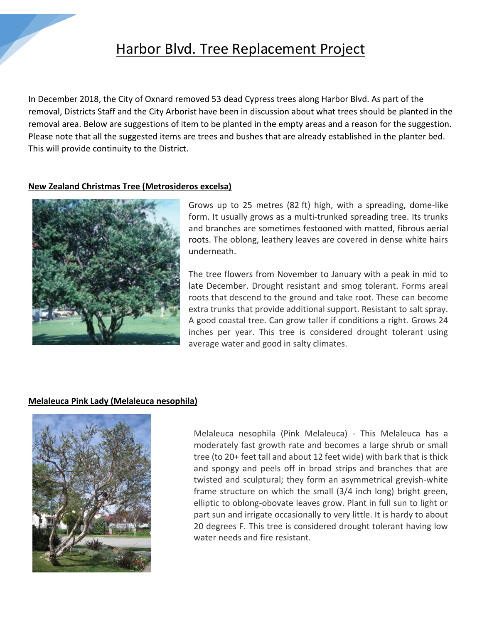

# Harbor Blvd. Tree Replacement Project

In December 2018, the City of Oxnard removed 53 dead Cypress trees along Harbor Blvd. As part of the removal, Districts Staff and the City Arborist have been in discussion about what trees should be planted in the removal area. Below are suggestions of item to be planted in the empty areas and a reason for the suggestion. Please note that all the suggested items are trees and bushes that are already established in the planter bed. This will provide continuity to the District.

# **New Zealand Christmas Tree (Metrosideros excelsa)**



Grows up to 25 metres (82 ft) high, with a spreading, dome-like form. It usually grows as a multi-trunked spreading tree. Its trunks and branches are sometimes festooned with matted, fibrous [aerial](https://en.wikipedia.org/wiki/Aerial_root)  [roots.](https://en.wikipedia.org/wiki/Aerial_root) The oblong, leathery leaves are covered in dense white hairs underneath.

The tree flowers from November to January with a peak in mid to late December. Drought resistant and smog tolerant. Forms areal roots that descend to the ground and take root. These can become extra trunks that provide additional support. Resistant to salt spray. A good coastal tree. Can grow taller if conditions a right. Grows 24 inches per year. This tree is considered drought tolerant using average water and good in salty climates.

# **Melaleuca Pink Lady (Melaleuca nesophila)**



Melaleuca nesophila (Pink Melaleuca) - This Melaleuca has a moderately fast growth rate and becomes a large shrub or small tree (to 20+ feet tall and about 12 feet wide) with bark that is thick and spongy and peels off in broad strips and branches that are twisted and sculptural; they form an asymmetrical greyish-white frame structure on which the small (3/4 inch long) bright green, elliptic to oblong-obovate leaves grow. Plant in full sun to light or part sun and irrigate occasionally to very little. It is hardy to about 20 degrees F. This tree is considered drought tolerant having low water needs and fire resistant.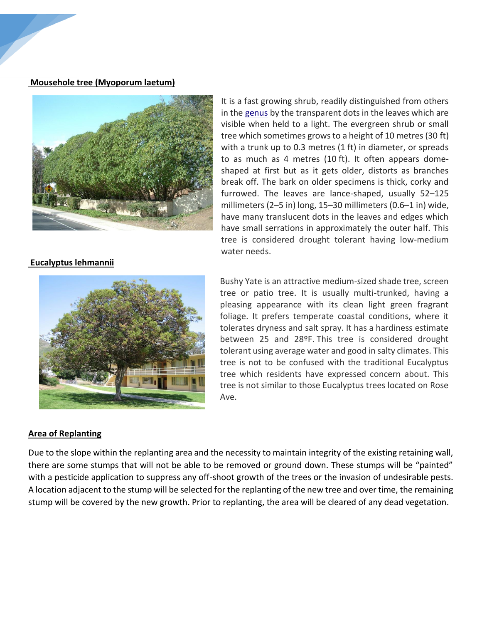#### **Mousehole tree (Myoporum laetum)**



in the [genus](https://en.wikipedia.org/wiki/Genus) by the transparent dots in the leaves which are visible when held to a light. The evergreen shrub or small tree which sometimes grows to a height of 10 metres (30 ft) with a trunk up to 0.3 metres (1 ft) in diameter, or spreads to as much as 4 metres (10 ft). It often appears domeshaped at first but as it gets older, distorts as branches break off. The bark on older specimens is thick, corky and furrowed. The leaves are lance-shaped, usually 52–125 millimeters (2–5 in) long, 15–30 millimeters (0.6–1 in) wide, have many translucent dots in the leaves and edges which have small serrations in approximately the outer half. This tree is considered drought tolerant having low-medium water needs.

It is a fast growing shrub, readily distinguished from others

### **Eucalyptus lehmannii**



#### **Area of Replanting**

Bushy Yate is an attractive medium-sized shade tree, screen tree or patio tree. It is usually multi-trunked, having a pleasing appearance with its clean light green fragrant foliage. It prefers temperate coastal conditions, where it tolerates dryness and salt spray. It has a hardiness estimate between 25 and 28ºF. This tree is considered drought tolerant using average water and good in salty climates. This tree is not to be confused with the traditional Eucalyptus tree which residents have expressed concern about. This tree is not similar to those Eucalyptus trees located on Rose Ave.

Due to the slope within the replanting area and the necessity to maintain integrity of the existing retaining wall, there are some stumps that will not be able to be removed or ground down. These stumps will be "painted" with a pesticide application to suppress any off-shoot growth of the trees or the invasion of undesirable pests. A location adjacent to the stump will be selected for the replanting of the new tree and over time, the remaining stump will be covered by the new growth. Prior to replanting, the area will be cleared of any dead vegetation.